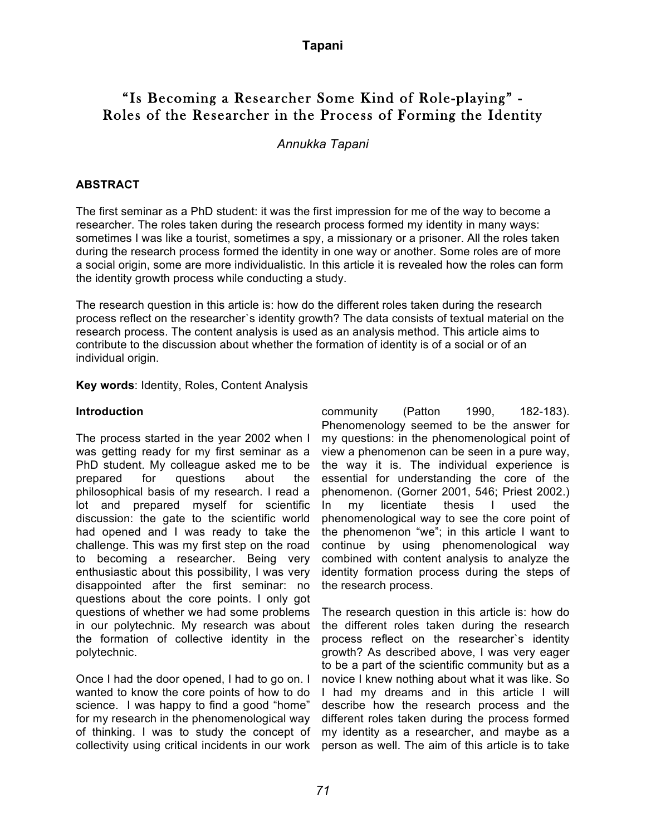# "Is Becoming a Researcher Some Kind of Role-playing" - Roles of the Researcher in the Process of Forming the Identity

### *Annukka Tapani*

### **ABSTRACT**

The first seminar as a PhD student: it was the first impression for me of the way to become a researcher. The roles taken during the research process formed my identity in many ways: sometimes I was like a tourist, sometimes a spy, a missionary or a prisoner. All the roles taken during the research process formed the identity in one way or another. Some roles are of more a social origin, some are more individualistic. In this article it is revealed how the roles can form the identity growth process while conducting a study.

The research question in this article is: how do the different roles taken during the research process reflect on the researcher`s identity growth? The data consists of textual material on the research process. The content analysis is used as an analysis method. This article aims to contribute to the discussion about whether the formation of identity is of a social or of an individual origin.

**Key words**: Identity, Roles, Content Analysis

#### **Introduction**

The process started in the year 2002 when I was getting ready for my first seminar as a PhD student. My colleague asked me to be prepared for questions about the philosophical basis of my research. I read a lot and prepared myself for scientific discussion: the gate to the scientific world had opened and I was ready to take the challenge. This was my first step on the road to becoming a researcher. Being very enthusiastic about this possibility, I was very disappointed after the first seminar: no questions about the core points. I only got questions of whether we had some problems in our polytechnic. My research was about the formation of collective identity in the polytechnic.

Once I had the door opened, I had to go on. I wanted to know the core points of how to do science. I was happy to find a good "home" for my research in the phenomenological way of thinking. I was to study the concept of collectivity using critical incidents in our work

community (Patton 1990, 182-183). Phenomenology seemed to be the answer for my questions: in the phenomenological point of view a phenomenon can be seen in a pure way, the way it is. The individual experience is essential for understanding the core of the phenomenon. (Gorner 2001, 546; Priest 2002.) In my licentiate thesis I used the phenomenological way to see the core point of the phenomenon "we"; in this article I want to continue by using phenomenological way combined with content analysis to analyze the identity formation process during the steps of the research process.

The research question in this article is: how do the different roles taken during the research process reflect on the researcher`s identity growth? As described above, I was very eager to be a part of the scientific community but as a novice I knew nothing about what it was like. So I had my dreams and in this article I will describe how the research process and the different roles taken during the process formed my identity as a researcher, and maybe as a person as well. The aim of this article is to take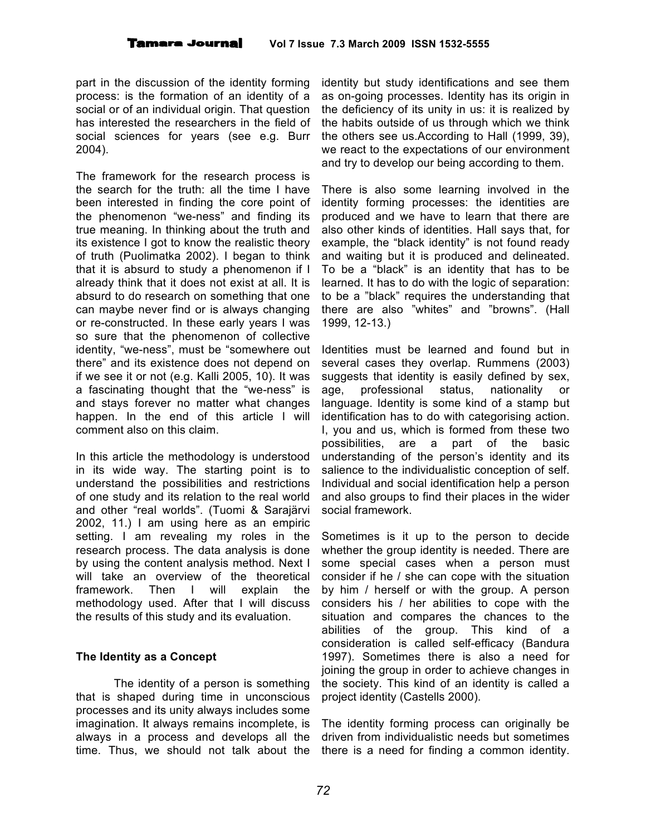part in the discussion of the identity forming process: is the formation of an identity of a social or of an individual origin. That question has interested the researchers in the field of social sciences for years (see e.g. Burr 2004).

The framework for the research process is the search for the truth: all the time I have been interested in finding the core point of the phenomenon "we-ness" and finding its true meaning. In thinking about the truth and its existence I got to know the realistic theory of truth (Puolimatka 2002). I began to think that it is absurd to study a phenomenon if I already think that it does not exist at all. It is absurd to do research on something that one can maybe never find or is always changing or re-constructed. In these early years I was so sure that the phenomenon of collective identity, "we-ness", must be "somewhere out there" and its existence does not depend on if we see it or not (e.g. Kalli 2005, 10). It was a fascinating thought that the "we-ness" is and stays forever no matter what changes happen. In the end of this article I will comment also on this claim.

In this article the methodology is understood in its wide way. The starting point is to understand the possibilities and restrictions of one study and its relation to the real world and other "real worlds". (Tuomi & Sarajärvi 2002, 11.) I am using here as an empiric setting. I am revealing my roles in the research process. The data analysis is done by using the content analysis method. Next I will take an overview of the theoretical framework. Then I will explain the methodology used. After that I will discuss the results of this study and its evaluation.

### **The Identity as a Concept**

The identity of a person is something that is shaped during time in unconscious processes and its unity always includes some imagination. It always remains incomplete, is always in a process and develops all the time. Thus, we should not talk about the

identity but study identifications and see them as on-going processes. Identity has its origin in the deficiency of its unity in us: it is realized by the habits outside of us through which we think the others see us.According to Hall (1999, 39), we react to the expectations of our environment and try to develop our being according to them.

There is also some learning involved in the identity forming processes: the identities are produced and we have to learn that there are also other kinds of identities. Hall says that, for example, the "black identity" is not found ready and waiting but it is produced and delineated. To be a "black" is an identity that has to be learned. It has to do with the logic of separation: to be a "black" requires the understanding that there are also "whites" and "browns". (Hall 1999, 12-13.)

Identities must be learned and found but in several cases they overlap. Rummens (2003) suggests that identity is easily defined by sex, age, professional status, nationality or language. Identity is some kind of a stamp but identification has to do with categorising action. I, you and us, which is formed from these two possibilities, are a part of the basic understanding of the person's identity and its salience to the individualistic conception of self. Individual and social identification help a person and also groups to find their places in the wider social framework.

Sometimes is it up to the person to decide whether the group identity is needed. There are some special cases when a person must consider if he / she can cope with the situation by him / herself or with the group. A person considers his / her abilities to cope with the situation and compares the chances to the abilities of the group. This kind of a consideration is called self-efficacy (Bandura 1997). Sometimes there is also a need for joining the group in order to achieve changes in the society. This kind of an identity is called a project identity (Castells 2000).

The identity forming process can originally be driven from individualistic needs but sometimes there is a need for finding a common identity.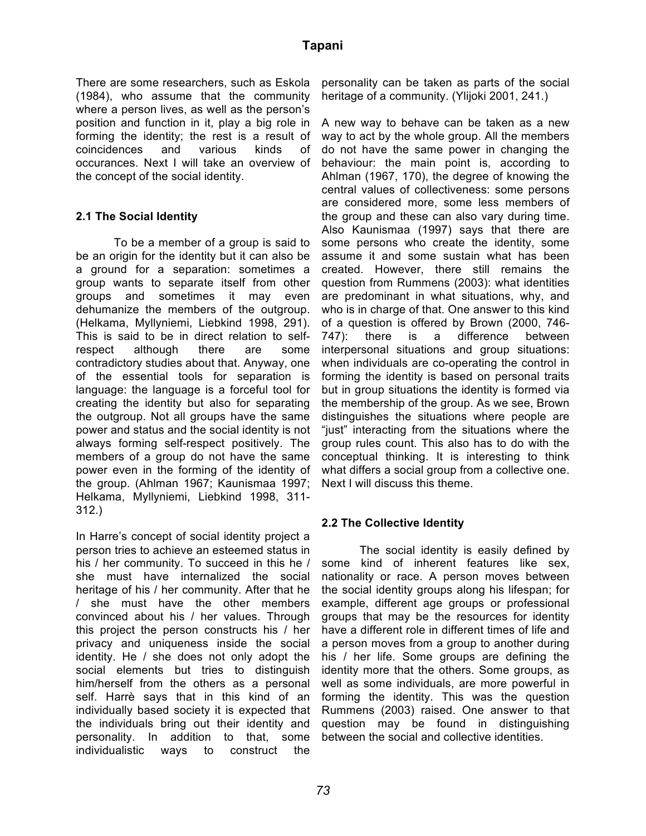There are some researchers, such as Eskola (1984), who assume that the community where a person lives, as well as the person's position and function in it, play a big role in forming the identity; the rest is a result of coincidences and various kinds of occurances. Next I will take an overview of the concept of the social identity.

#### **2.1 The Social Identity**

To be a member of a group is said to be an origin for the identity but it can also be a ground for a separation: sometimes a group wants to separate itself from other groups and sometimes it may even dehumanize the members of the outgroup. (Helkama, Myllyniemi, Liebkind 1998, 291). This is said to be in direct relation to selfrespect although there are some contradictory studies about that. Anyway, one of the essential tools for separation is language: the language is a forceful tool for creating the identity but also for separating the outgroup. Not all groups have the same power and status and the social identity is not always forming self-respect positively. The members of a group do not have the same power even in the forming of the identity of the group. (Ahlman 1967; Kaunismaa 1997; Helkama, Myllyniemi, Liebkind 1998, 311- 312.)

In Harre's concept of social identity project a person tries to achieve an esteemed status in his / her community. To succeed in this he / she must have internalized the social heritage of his / her community. After that he / she must have the other members convinced about his / her values. Through this project the person constructs his / her privacy and uniqueness inside the social identity. He / she does not only adopt the social elements but tries to distinguish him/herself from the others as a personal self. Harrè says that in this kind of an individually based society it is expected that the individuals bring out their identity and personality. In addition to that, some individualistic ways to construct the

personality can be taken as parts of the social heritage of a community. (Ylijoki 2001, 241.)

A new way to behave can be taken as a new way to act by the whole group. All the members do not have the same power in changing the behaviour: the main point is, according to Ahlman (1967, 170), the degree of knowing the central values of collectiveness: some persons are considered more, some less members of the group and these can also vary during time. Also Kaunismaa (1997) says that there are some persons who create the identity, some assume it and some sustain what has been created. However, there still remains the question from Rummens (2003): what identities are predominant in what situations, why, and who is in charge of that. One answer to this kind of a question is offered by Brown (2000, 746- 747): there is a difference between interpersonal situations and group situations: when individuals are co-operating the control in forming the identity is based on personal traits but in group situations the identity is formed via the membership of the group. As we see, Brown distinguishes the situations where people are "just" interacting from the situations where the group rules count. This also has to do with the conceptual thinking. It is interesting to think what differs a social group from a collective one. Next I will discuss this theme.

#### **2.2 The Collective Identity**

The social identity is easily defined by some kind of inherent features like sex, nationality or race. A person moves between the social identity groups along his lifespan; for example, different age groups or professional groups that may be the resources for identity have a different role in different times of life and a person moves from a group to another during his / her life. Some groups are defining the identity more that the others. Some groups, as well as some individuals, are more powerful in forming the identity. This was the question Rummens (2003) raised. One answer to that question may be found in distinguishing between the social and collective identities.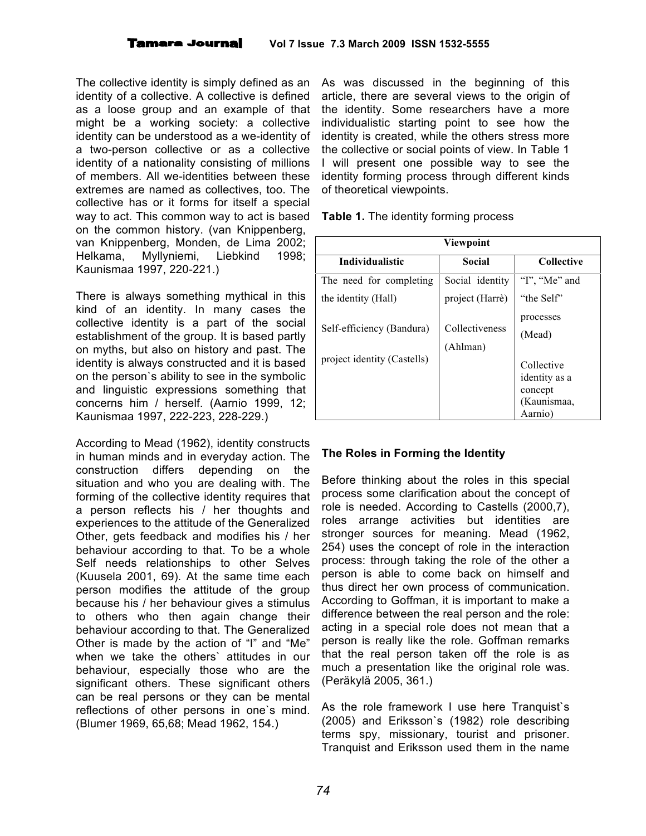The collective identity is simply defined as an identity of a collective. A collective is defined as a loose group and an example of that might be a working society: a collective identity can be understood as a we-identity of a two-person collective or as a collective identity of a nationality consisting of millions of members. All we-identities between these extremes are named as collectives, too. The collective has or it forms for itself a special way to act. This common way to act is based on the common history. (van Knippenberg, van Knippenberg, Monden, de Lima 2002; Helkama, Myllyniemi, Liebkind 1998; Kaunismaa 1997, 220-221.)

There is always something mythical in this kind of an identity. In many cases the collective identity is a part of the social establishment of the group. It is based partly on myths, but also on history and past. The identity is always constructed and it is based on the person`s ability to see in the symbolic and linguistic expressions something that concerns him / herself. (Aarnio 1999, 12; Kaunismaa 1997, 222-223, 228-229.)

According to Mead (1962), identity constructs in human minds and in everyday action. The construction differs depending on the situation and who you are dealing with. The forming of the collective identity requires that a person reflects his / her thoughts and experiences to the attitude of the Generalized Other, gets feedback and modifies his / her behaviour according to that. To be a whole Self needs relationships to other Selves (Kuusela 2001, 69). At the same time each person modifies the attitude of the group because his / her behaviour gives a stimulus to others who then again change their behaviour according to that. The Generalized Other is made by the action of "I" and "Me" when we take the others` attitudes in our behaviour, especially those who are the significant others. These significant others can be real persons or they can be mental reflections of other persons in one`s mind. (Blumer 1969, 65,68; Mead 1962, 154.)

As was discussed in the beginning of this article, there are several views to the origin of the identity. Some researchers have a more individualistic starting point to see how the identity is created, while the others stress more the collective or social points of view. In Table 1 I will present one possible way to see the identity forming process through different kinds of theoretical viewpoints.

| Viewpoint                   |                            |                                                                  |  |  |
|-----------------------------|----------------------------|------------------------------------------------------------------|--|--|
| <b>Individualistic</b>      | Social                     | <b>Collective</b>                                                |  |  |
| The need for completing     | Social identity            | "I", "Me" and                                                    |  |  |
| the identity (Hall)         | project (Harrè)            | "the Self"                                                       |  |  |
| Self-efficiency (Bandura)   | Collectiveness<br>(Ahlman) | processes<br>(Mead)                                              |  |  |
| project identity (Castells) |                            | Collective<br>identity as a<br>concept<br>(Kaunismaa,<br>Aarnio) |  |  |

**Table 1.** The identity forming process

### **The Roles in Forming the Identity**

Before thinking about the roles in this special process some clarification about the concept of role is needed. According to Castells (2000,7), roles arrange activities but identities are stronger sources for meaning. Mead (1962, 254) uses the concept of role in the interaction process: through taking the role of the other a person is able to come back on himself and thus direct her own process of communication. According to Goffman, it is important to make a difference between the real person and the role: acting in a special role does not mean that a person is really like the role. Goffman remarks that the real person taken off the role is as much a presentation like the original role was. (Peräkylä 2005, 361.)

As the role framework I use here Tranquist`s (2005) and Eriksson`s (1982) role describing terms spy, missionary, tourist and prisoner. Tranquist and Eriksson used them in the name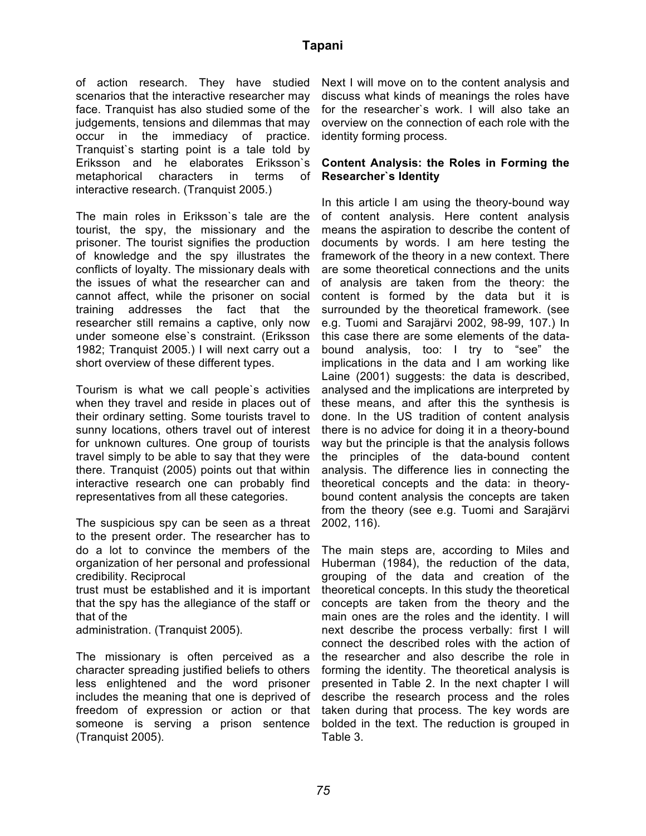of action research. They have studied scenarios that the interactive researcher may face. Tranquist has also studied some of the judgements, tensions and dilemmas that may occur in the immediacy of practice. Tranquist`s starting point is a tale told by Eriksson and he elaborates Eriksson`s metaphorical characters in terms of interactive research. (Tranquist 2005.)

The main roles in Eriksson`s tale are the tourist, the spy, the missionary and the prisoner. The tourist signifies the production of knowledge and the spy illustrates the conflicts of loyalty. The missionary deals with the issues of what the researcher can and cannot affect, while the prisoner on social training addresses the fact that the researcher still remains a captive, only now under someone else`s constraint. (Eriksson 1982; Tranquist 2005.) I will next carry out a short overview of these different types.

Tourism is what we call people`s activities when they travel and reside in places out of their ordinary setting. Some tourists travel to sunny locations, others travel out of interest for unknown cultures. One group of tourists travel simply to be able to say that they were there. Tranquist (2005) points out that within interactive research one can probably find representatives from all these categories.

The suspicious spy can be seen as a threat to the present order. The researcher has to do a lot to convince the members of the organization of her personal and professional credibility. Reciprocal

trust must be established and it is important that the spy has the allegiance of the staff or that of the

administration. (Tranquist 2005).

The missionary is often perceived as a character spreading justified beliefs to others less enlightened and the word prisoner includes the meaning that one is deprived of freedom of expression or action or that someone is serving a prison sentence (Tranquist 2005).

Next I will move on to the content analysis and discuss what kinds of meanings the roles have for the researcher`s work. I will also take an overview on the connection of each role with the identity forming process.

#### **Content Analysis: the Roles in Forming the Researcher`s Identity**

In this article I am using the theory-bound way of content analysis. Here content analysis means the aspiration to describe the content of documents by words. I am here testing the framework of the theory in a new context. There are some theoretical connections and the units of analysis are taken from the theory: the content is formed by the data but it is surrounded by the theoretical framework. (see e.g. Tuomi and Sarajärvi 2002, 98-99, 107.) In this case there are some elements of the databound analysis, too: I try to "see" the implications in the data and I am working like Laine (2001) suggests: the data is described, analysed and the implications are interpreted by these means, and after this the synthesis is done. In the US tradition of content analysis there is no advice for doing it in a theory-bound way but the principle is that the analysis follows the principles of the data-bound content analysis. The difference lies in connecting the theoretical concepts and the data: in theorybound content analysis the concepts are taken from the theory (see e.g. Tuomi and Sarajärvi 2002, 116).

The main steps are, according to Miles and Huberman (1984), the reduction of the data, grouping of the data and creation of the theoretical concepts. In this study the theoretical concepts are taken from the theory and the main ones are the roles and the identity. I will next describe the process verbally: first I will connect the described roles with the action of the researcher and also describe the role in forming the identity. The theoretical analysis is presented in Table 2. In the next chapter I will describe the research process and the roles taken during that process. The key words are bolded in the text. The reduction is grouped in Table 3.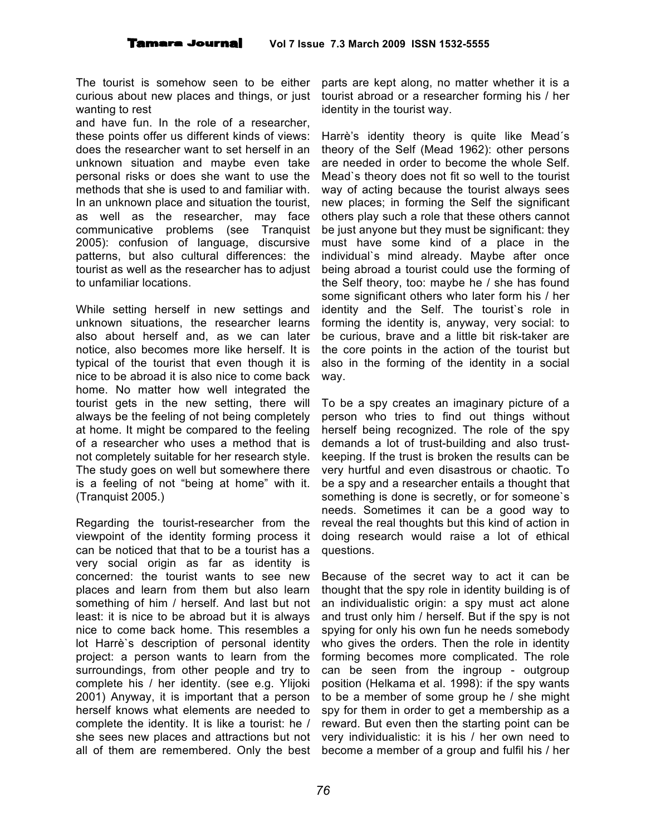The tourist is somehow seen to be either curious about new places and things, or just wanting to rest

and have fun. In the role of a researcher, these points offer us different kinds of views: does the researcher want to set herself in an unknown situation and maybe even take personal risks or does she want to use the methods that she is used to and familiar with. In an unknown place and situation the tourist, as well as the researcher, may face communicative problems (see Tranquist 2005): confusion of language, discursive patterns, but also cultural differences: the tourist as well as the researcher has to adjust to unfamiliar locations.

While setting herself in new settings and unknown situations, the researcher learns also about herself and, as we can later notice, also becomes more like herself. It is typical of the tourist that even though it is nice to be abroad it is also nice to come back home. No matter how well integrated the tourist gets in the new setting, there will always be the feeling of not being completely at home. It might be compared to the feeling of a researcher who uses a method that is not completely suitable for her research style. The study goes on well but somewhere there is a feeling of not "being at home" with it. (Tranquist 2005.)

Regarding the tourist-researcher from the viewpoint of the identity forming process it can be noticed that that to be a tourist has a very social origin as far as identity is concerned: the tourist wants to see new places and learn from them but also learn something of him / herself. And last but not least: it is nice to be abroad but it is always nice to come back home. This resembles a lot Harrè`s description of personal identity project: a person wants to learn from the surroundings, from other people and try to complete his / her identity. (see e.g. Ylijoki 2001) Anyway, it is important that a person herself knows what elements are needed to complete the identity. It is like a tourist: he / she sees new places and attractions but not all of them are remembered. Only the best

parts are kept along, no matter whether it is a tourist abroad or a researcher forming his / her identity in the tourist way.

Harrè's identity theory is quite like Mead´s theory of the Self (Mead 1962): other persons are needed in order to become the whole Self. Mead`s theory does not fit so well to the tourist way of acting because the tourist always sees new places; in forming the Self the significant others play such a role that these others cannot be just anyone but they must be significant: they must have some kind of a place in the individual`s mind already. Maybe after once being abroad a tourist could use the forming of the Self theory, too: maybe he / she has found some significant others who later form his / her identity and the Self. The tourist`s role in forming the identity is, anyway, very social: to be curious, brave and a little bit risk-taker are the core points in the action of the tourist but also in the forming of the identity in a social way.

To be a spy creates an imaginary picture of a person who tries to find out things without herself being recognized. The role of the spy demands a lot of trust-building and also trustkeeping. If the trust is broken the results can be very hurtful and even disastrous or chaotic. To be a spy and a researcher entails a thought that something is done is secretly, or for someone`s needs. Sometimes it can be a good way to reveal the real thoughts but this kind of action in doing research would raise a lot of ethical questions.

Because of the secret way to act it can be thought that the spy role in identity building is of an individualistic origin: a spy must act alone and trust only him / herself. But if the spy is not spying for only his own fun he needs somebody who gives the orders. Then the role in identity forming becomes more complicated. The role can be seen from the ingroup - outgroup position (Helkama et al. 1998): if the spy wants to be a member of some group he / she might spy for them in order to get a membership as a reward. But even then the starting point can be very individualistic: it is his / her own need to become a member of a group and fulfil his / her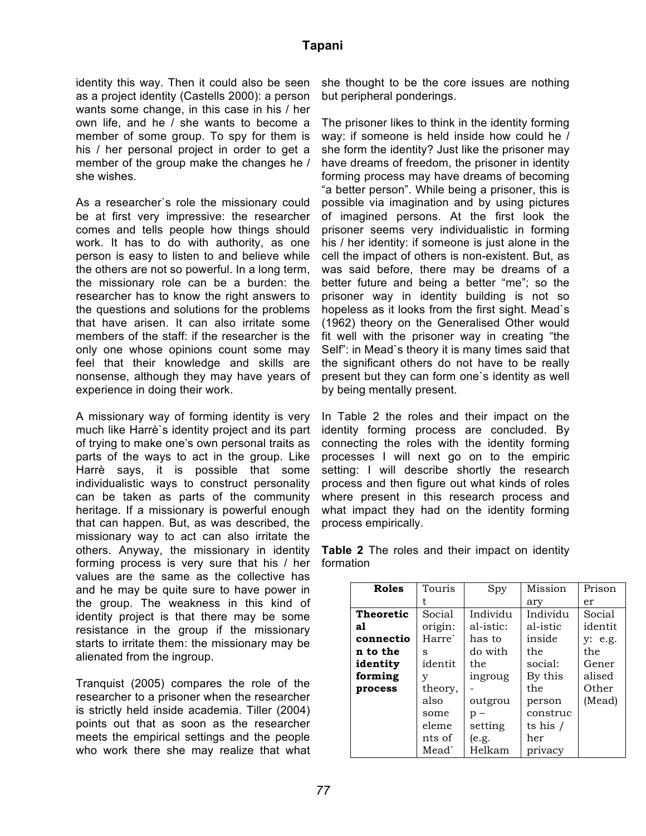identity this way. Then it could also be seen as a project identity (Castells 2000): a person wants some change, in this case in his / her own life, and he / she wants to become a member of some group. To spy for them is his / her personal project in order to get a member of the group make the changes he / she wishes.

As a researcher`s role the missionary could be at first very impressive: the researcher comes and tells people how things should work. It has to do with authority, as one person is easy to listen to and believe while the others are not so powerful. In a long term, the missionary role can be a burden: the researcher has to know the right answers to the questions and solutions for the problems that have arisen. It can also irritate some members of the staff: if the researcher is the only one whose opinions count some may feel that their knowledge and skills are nonsense, although they may have years of experience in doing their work.

A missionary way of forming identity is very much like Harrè`s identity project and its part of trying to make one's own personal traits as parts of the ways to act in the group. Like Harrè says, it is possible that some individualistic ways to construct personality can be taken as parts of the community heritage. If a missionary is powerful enough that can happen. But, as was described, the missionary way to act can also irritate the others. Anyway, the missionary in identity forming process is very sure that his / her values are the same as the collective has and he may be quite sure to have power in the group. The weakness in this kind of identity project is that there may be some resistance in the group if the missionary starts to irritate them: the missionary may be alienated from the ingroup.

Tranquist (2005) compares the role of the researcher to a prisoner when the researcher is strictly held inside academia. Tiller (2004) points out that as soon as the researcher meets the empirical settings and the people who work there she may realize that what

she thought to be the core issues are nothing but peripheral ponderings.

The prisoner likes to think in the identity forming way: if someone is held inside how could he / she form the identity? Just like the prisoner may have dreams of freedom, the prisoner in identity forming process may have dreams of becoming "a better person". While being a prisoner, this is possible via imagination and by using pictures of imagined persons. At the first look the prisoner seems very individualistic in forming his / her identity: if someone is just alone in the cell the impact of others is non-existent. But, as was said before, there may be dreams of a better future and being a better "me"; so the prisoner way in identity building is not so hopeless as it looks from the first sight. Mead`s (1962) theory on the Generalised Other would fit well with the prisoner way in creating "the Self": in Mead`s theory it is many times said that the significant others do not have to be really present but they can form one`s identity as well by being mentally present.

In Table 2 the roles and their impact on the identity forming process are concluded. By connecting the roles with the identity forming processes I will next go on to the empiric setting: I will describe shortly the research process and then figure out what kinds of roles where present in this research process and what impact they had on the identity forming process empirically.

| <b>Roles</b>     | Touris             | Spy       | Mission    | Prison  |
|------------------|--------------------|-----------|------------|---------|
|                  |                    |           | ary        | er      |
| <b>Theoretic</b> | Social             | Individu  | Individu   | Social  |
| al               | origin:            | al-istic: | al-istic   | identit |
| connectio        | Harre <sup>`</sup> | has to    | inside     | y: e.g. |
| n to the         | s                  | do with   | the        | the     |
| identity         | identit            | the       | social:    | Gener   |
| forming          | v                  | ingroug   | By this    | alised  |
| process          | theory,            |           | the        | Other   |
|                  | also               | outgrou   | person     | (Mead)  |
|                  | some               | $p -$     | construc   |         |
|                  | eleme              | setting   | ts his $/$ |         |
|                  | nts of             | (e.g.     | her        |         |
|                  | Mead`              | Helkam    | privacy    |         |

**Table 2** The roles and their impact on identity formation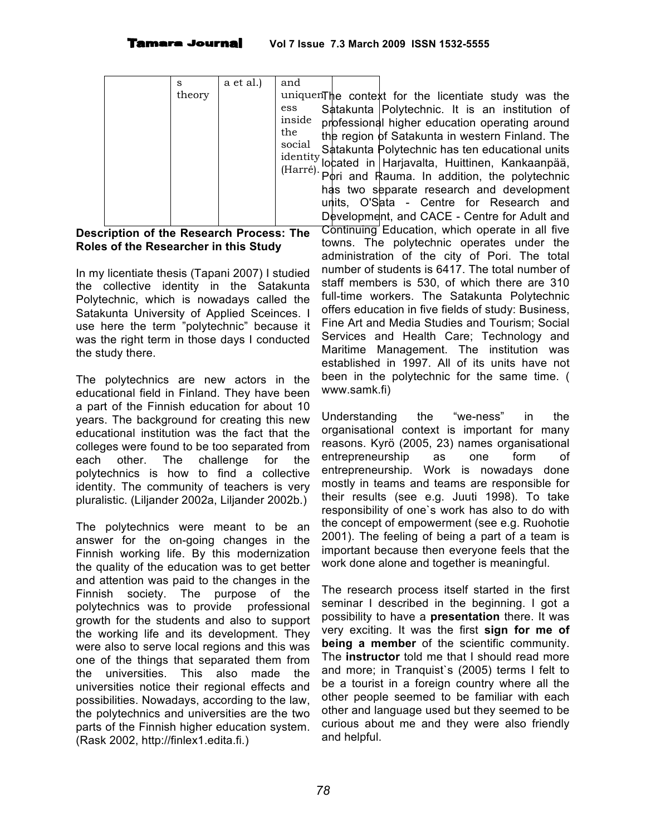| s<br>theory | a et al.) | and<br>uniquenThe<br>ess<br>inside<br>the<br>social<br>identity<br>(Harré). | Satak<br>profes<br>the re<br>Satak<br>locate<br>Pori<br>has t<br>units,<br>Devel |
|-------------|-----------|-----------------------------------------------------------------------------|----------------------------------------------------------------------------------|

#### **Description of the Research Process: The Roles of the Researcher in this Study**

In my licentiate thesis (Tapani 2007) I studied the collective identity in the Satakunta Polytechnic, which is nowadays called the Satakunta University of Applied Sceinces. I use here the term "polytechnic" because it was the right term in those days I conducted the study there.

The polytechnics are new actors in the educational field in Finland. They have been a part of the Finnish education for about 10 years. The background for creating this new educational institution was the fact that the colleges were found to be too separated from each other. The challenge for the polytechnics is how to find a collective identity. The community of teachers is very pluralistic. (Liljander 2002a, Liljander 2002b.)

The polytechnics were meant to be an answer for the on-going changes in the Finnish working life. By this modernization the quality of the education was to get better and attention was paid to the changes in the Finnish society. The purpose of the polytechnics was to provide professional growth for the students and also to support the working life and its development. They were also to serve local regions and this was one of the things that separated them from the universities. This also made the universities notice their regional effects and possibilities. Nowadays, according to the law, the polytechnics and universities are the two parts of the Finnish higher education system. (Rask 2002, http://finlex1.edita.fi.)

context for the licentiate study was the unta Polytechnic. It is an institution of ssional higher education operating around  $\epsilon$ aion  $\sf{d}$ f Satakunta in western Finland. The kunta Polytechnic has ten educational units ed in Harjavalta, Huittinen, Kankaanpää, and Rauma. In addition, the polytechnic wo separate research and development O'Sata - Centre for Research and lopment, and CACE - Centre for Adult and Continuing Education, which operate in all five towns. The polytechnic operates under the administration of the city of Pori. The total number of students is 6417. The total number of staff members is 530, of which there are 310 full-time workers. The Satakunta Polytechnic offers education in five fields of study: Business, Fine Art and Media Studies and Tourism; Social Services and Health Care; Technology and Maritime Management. The institution was established in 1997. All of its units have not been in the polytechnic for the same time. ( www.samk.fi)

Understanding the "we-ness" in the organisational context is important for many reasons. Kyrö (2005, 23) names organisational entrepreneurship as one form of entrepreneurship. Work is nowadays done mostly in teams and teams are responsible for their results (see e.g. Juuti 1998). To take responsibility of one`s work has also to do with the concept of empowerment (see e.g. Ruohotie 2001). The feeling of being a part of a team is important because then everyone feels that the work done alone and together is meaningful.

The research process itself started in the first seminar I described in the beginning. I got a possibility to have a **presentation** there. It was very exciting. It was the first **sign for me of being a member** of the scientific community. The **instructor** told me that I should read more and more; in Tranquist`s (2005) terms I felt to be a tourist in a foreign country where all the other people seemed to be familiar with each other and language used but they seemed to be curious about me and they were also friendly and helpful.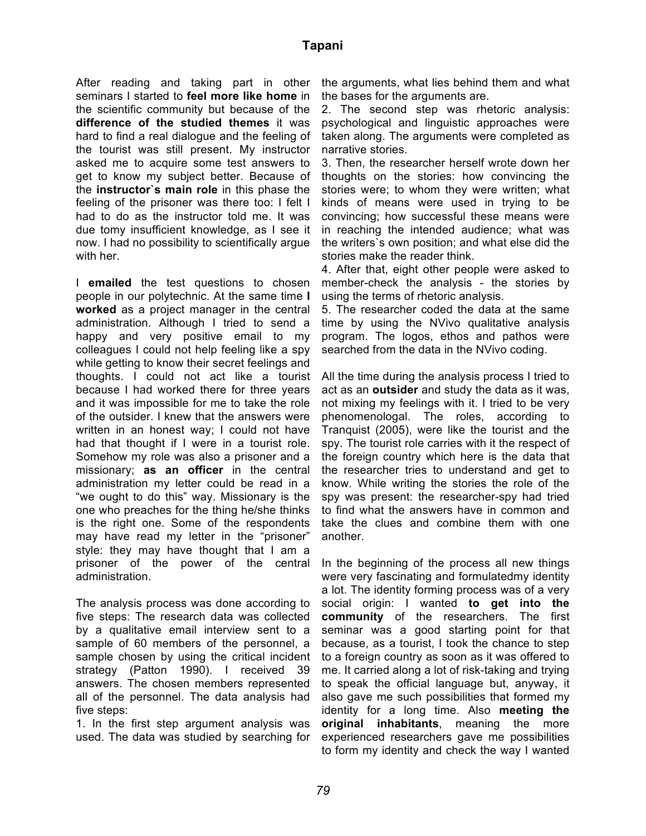After reading and taking part in other seminars I started to **feel more like home** in the scientific community but because of the **difference of the studied themes** it was hard to find a real dialogue and the feeling of the tourist was still present. My instructor asked me to acquire some test answers to get to know my subject better. Because of the **instructor`s main role** in this phase the feeling of the prisoner was there too: I felt I had to do as the instructor told me. It was due tomy insufficient knowledge, as I see it now. I had no possibility to scientifically argue with her.

I **emailed** the test questions to chosen people in our polytechnic. At the same time **I worked** as a project manager in the central administration. Although I tried to send a happy and very positive email to my colleagues I could not help feeling like a spy while getting to know their secret feelings and thoughts. I could not act like a tourist because I had worked there for three years and it was impossible for me to take the role of the outsider. I knew that the answers were written in an honest way; I could not have had that thought if I were in a tourist role. Somehow my role was also a prisoner and a missionary; **as an officer** in the central administration my letter could be read in a "we ought to do this" way. Missionary is the one who preaches for the thing he/she thinks is the right one. Some of the respondents may have read my letter in the "prisoner" style: they may have thought that I am a prisoner of the power of the central administration.

The analysis process was done according to five steps: The research data was collected by a qualitative email interview sent to a sample of 60 members of the personnel, a sample chosen by using the critical incident strategy (Patton 1990). I received 39 answers. The chosen members represented all of the personnel. The data analysis had five steps:

1. In the first step argument analysis was used. The data was studied by searching for

the arguments, what lies behind them and what the bases for the arguments are.

2. The second step was rhetoric analysis: psychological and linguistic approaches were taken along. The arguments were completed as narrative stories.

3. Then, the researcher herself wrote down her thoughts on the stories: how convincing the stories were; to whom they were written; what kinds of means were used in trying to be convincing; how successful these means were in reaching the intended audience; what was the writers`s own position; and what else did the stories make the reader think.

4. After that, eight other people were asked to member-check the analysis - the stories by using the terms of rhetoric analysis.

5. The researcher coded the data at the same time by using the NVivo qualitative analysis program. The logos, ethos and pathos were searched from the data in the NVivo coding.

All the time during the analysis process I tried to act as an **outsider** and study the data as it was, not mixing my feelings with it. I tried to be very phenomenologal. The roles, according to Tranquist (2005), were like the tourist and the spy. The tourist role carries with it the respect of the foreign country which here is the data that the researcher tries to understand and get to know. While writing the stories the role of the spy was present: the researcher-spy had tried to find what the answers have in common and take the clues and combine them with one another.

In the beginning of the process all new things were very fascinating and formulatedmy identity a lot. The identity forming process was of a very social origin: I wanted **to get into the community** of the researchers. The first seminar was a good starting point for that because, as a tourist, I took the chance to step to a foreign country as soon as it was offered to me. It carried along a lot of risk-taking and trying to speak the official language but, anyway, it also gave me such possibilities that formed my identity for a long time. Also **meeting the original inhabitants**, meaning the more experienced researchers gave me possibilities to form my identity and check the way I wanted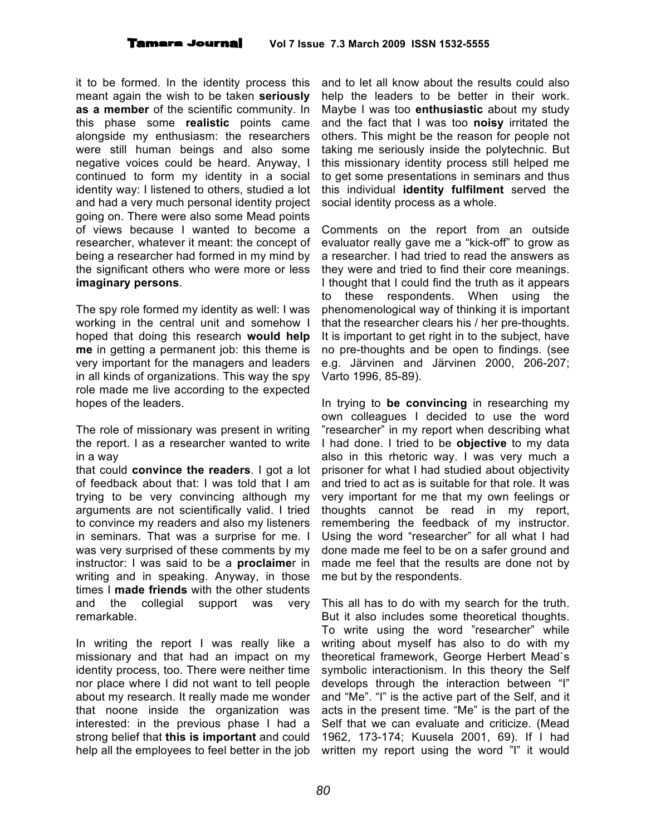it to be formed. In the identity process this meant again the wish to be taken **seriously as a member** of the scientific community. In this phase some **realistic** points came alongside my enthusiasm: the researchers were still human beings and also some negative voices could be heard. Anyway, I continued to form my identity in a social identity way: I listened to others, studied a lot and had a very much personal identity project going on. There were also some Mead points of views because I wanted to become a researcher, whatever it meant: the concept of being a researcher had formed in my mind by the significant others who were more or less **imaginary persons**.

The spy role formed my identity as well: I was working in the central unit and somehow I hoped that doing this research **would help me** in getting a permanent job: this theme is very important for the managers and leaders in all kinds of organizations. This way the spy role made me live according to the expected hopes of the leaders.

The role of missionary was present in writing the report. I as a researcher wanted to write in a way

that could **convince the readers**. I got a lot of feedback about that: I was told that I am trying to be very convincing although my arguments are not scientifically valid. I tried to convince my readers and also my listeners in seminars. That was a surprise for me. I was very surprised of these comments by my instructor: I was said to be a **proclaime**r in writing and in speaking. Anyway, in those times I **made friends** with the other students and the collegial support was very remarkable.

In writing the report I was really like a missionary and that had an impact on my identity process, too. There were neither time nor place where I did not want to tell people about my research. It really made me wonder that noone inside the organization was interested: in the previous phase I had a strong belief that **this is important** and could help all the employees to feel better in the job

and to let all know about the results could also help the leaders to be better in their work. Maybe I was too **enthusiastic** about my study and the fact that I was too **noisy** irritated the others. This might be the reason for people not taking me seriously inside the polytechnic. But this missionary identity process still helped me to get some presentations in seminars and thus this individual **identity fulfilment** served the social identity process as a whole.

Comments on the report from an outside evaluator really gave me a "kick-off" to grow as a researcher. I had tried to read the answers as they were and tried to find their core meanings. I thought that I could find the truth as it appears to these respondents. When using the phenomenological way of thinking it is important that the researcher clears his / her pre-thoughts. It is important to get right in to the subject, have no pre-thoughts and be open to findings. (see e.g. Järvinen and Järvinen 2000, 206-207; Varto 1996, 85-89).

In trying to **be convincing** in researching my own colleagues I decided to use the word "researcher" in my report when describing what I had done. I tried to be **objective** to my data also in this rhetoric way. I was very much a prisoner for what I had studied about objectivity and tried to act as is suitable for that role. It was very important for me that my own feelings or thoughts cannot be read in my report, remembering the feedback of my instructor. Using the word "researcher" for all what I had done made me feel to be on a safer ground and made me feel that the results are done not by me but by the respondents.

This all has to do with my search for the truth. But it also includes some theoretical thoughts. To write using the word "researcher" while writing about myself has also to do with my theoretical framework, George Herbert Mead`s symbolic interactionism. In this theory the Self develops through the interaction between "I" and "Me". "I" is the active part of the Self, and it acts in the present time. "Me" is the part of the Self that we can evaluate and criticize. (Mead 1962, 173-174; Kuusela 2001, 69). If I had written my report using the word "I" it would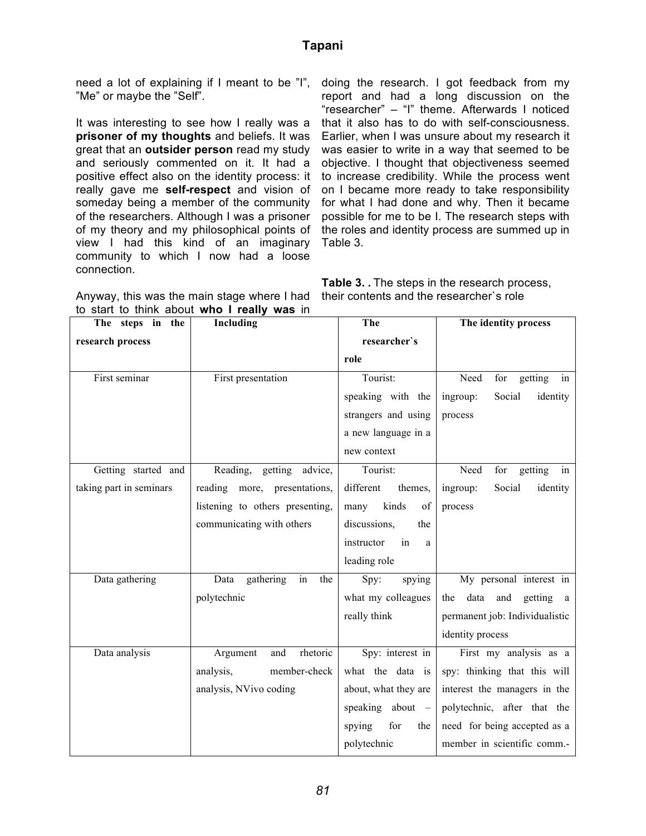need a lot of explaining if I meant to be "I", "Me" or maybe the "Self".

It was interesting to see how I really was a **prisoner of my thoughts** and beliefs. It was great that an **outsider person** read my study and seriously commented on it. It had a positive effect also on the identity process: it really gave me **self-respect** and vision of someday being a member of the community of the researchers. Although I was a prisoner of my theory and my philosophical points of view I had this kind of an imaginary community to which I now had a loose connection.

doing the research. I got feedback from my report and had a long discussion on the "researcher" – "I" theme. Afterwards I noticed that it also has to do with self-consciousness. Earlier, when I was unsure about my research it was easier to write in a way that seemed to be objective. I thought that objectiveness seemed to increase credibility. While the process went on I became more ready to take responsibility for what I had done and why. Then it became possible for me to be I. The research steps with the roles and identity process are summed up in Table 3.

| Anyway, this was the main stage where I had th |  |
|------------------------------------------------|--|
| to start to think about who I really was in    |  |

**Table 3. .** The steps in the research process, eir contents and the researcher's role

| The steps in the        | Including                       | The                   | The identity process              |  |
|-------------------------|---------------------------------|-----------------------|-----------------------------------|--|
| research process        |                                 | researcher's          |                                   |  |
|                         |                                 | role                  |                                   |  |
| First seminar           | First presentation              | Tourist:              | Need<br>getting<br>for<br>in      |  |
|                         |                                 | speaking with the     | Social<br>identity<br>ingroup:    |  |
|                         |                                 | strangers and using   | process                           |  |
|                         |                                 | a new language in a   |                                   |  |
|                         |                                 | new context           |                                   |  |
| Getting started and     | Reading, getting advice,        | Tourist:              | Need<br>for<br>getting<br>in      |  |
| taking part in seminars | reading more, presentations,    | different<br>themes,  | Social<br>identity<br>ingroup:    |  |
|                         | listening to others presenting, | kinds<br>of<br>many   | process                           |  |
|                         | communicating with others       | discussions,<br>the   |                                   |  |
|                         |                                 | instructor<br>in<br>a |                                   |  |
|                         |                                 | leading role          |                                   |  |
| Data gathering          | in<br>Data<br>gathering<br>the  | Spy:<br>spying        | My personal interest in           |  |
|                         | polytechnic                     | what my colleagues    | data and<br>getting<br>the<br>a a |  |
|                         |                                 | really think          | permanent job: Individualistic    |  |
|                         |                                 |                       | identity process                  |  |
| Data analysis           | rhetoric<br>and<br>Argument     | Spy: interest in      | First my analysis as a            |  |
|                         | member-check<br>analysis,       | what the data is      | spy: thinking that this will      |  |
|                         | analysis, NVivo coding          | about, what they are  | interest the managers in the      |  |
|                         |                                 | speaking about $-$    | polytechnic, after that the       |  |
|                         |                                 | spying<br>for<br>the  | need for being accepted as a      |  |
|                         |                                 | polytechnic           | member in scientific comm.-       |  |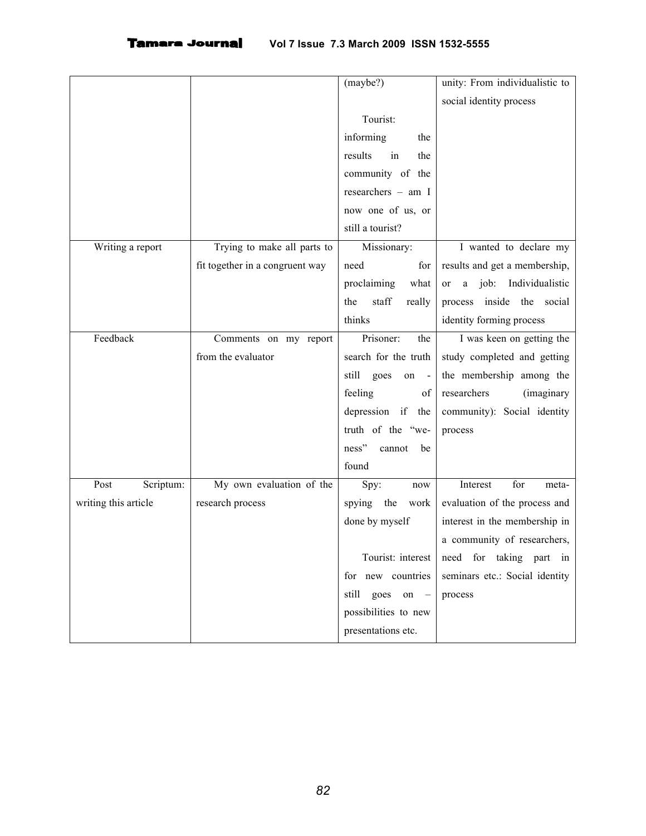|                      |                                 | (maybe?)                | unity: From individualistic to         |
|----------------------|---------------------------------|-------------------------|----------------------------------------|
|                      |                                 |                         | social identity process                |
|                      |                                 | Tourist:                |                                        |
|                      |                                 | informing<br>the        |                                        |
|                      |                                 | results<br>in<br>the    |                                        |
|                      |                                 | community of the        |                                        |
|                      |                                 | researchers - am I      |                                        |
|                      |                                 | now one of us, or       |                                        |
|                      |                                 | still a tourist?        |                                        |
| Writing a report     | Trying to make all parts to     | Missionary:             | I wanted to declare my                 |
|                      | fit together in a congruent way | need<br>for             | results and get a membership,          |
|                      |                                 | what<br>proclaiming     | job: Individualistic<br>$\rm{a}$<br>or |
|                      |                                 | staff<br>the<br>really  | inside the social<br>process           |
|                      |                                 | thinks                  | identity forming process               |
| Feedback             | Comments on my report           | Prisoner:<br>the        | I was keen on getting the              |
|                      | from the evaluator              | search for the truth    | study completed and getting            |
|                      |                                 | still<br>goes<br>on     | the membership among the               |
|                      |                                 | feeling<br>of           | researchers<br><i>(imaginary)</i>      |
|                      |                                 | depression if the       | community): Social identity            |
|                      |                                 | truth of the "we-       | process                                |
|                      |                                 | ness"<br>cannot<br>be   |                                        |
|                      |                                 | found                   |                                        |
| Post<br>Scriptum:    | My own evaluation of the        | Spy:<br>now             | for<br>Interest<br>meta-               |
| writing this article | research process                | spying the<br>work      | evaluation of the process and          |
|                      |                                 | done by myself          | interest in the membership in          |
|                      |                                 |                         | a community of researchers,            |
|                      |                                 | Tourist: interest       | need for taking part in                |
|                      |                                 | for new countries       | seminars etc.: Social identity         |
|                      |                                 | still<br>goes<br>$on -$ | process                                |
|                      |                                 | possibilities to new    |                                        |
|                      |                                 | presentations etc.      |                                        |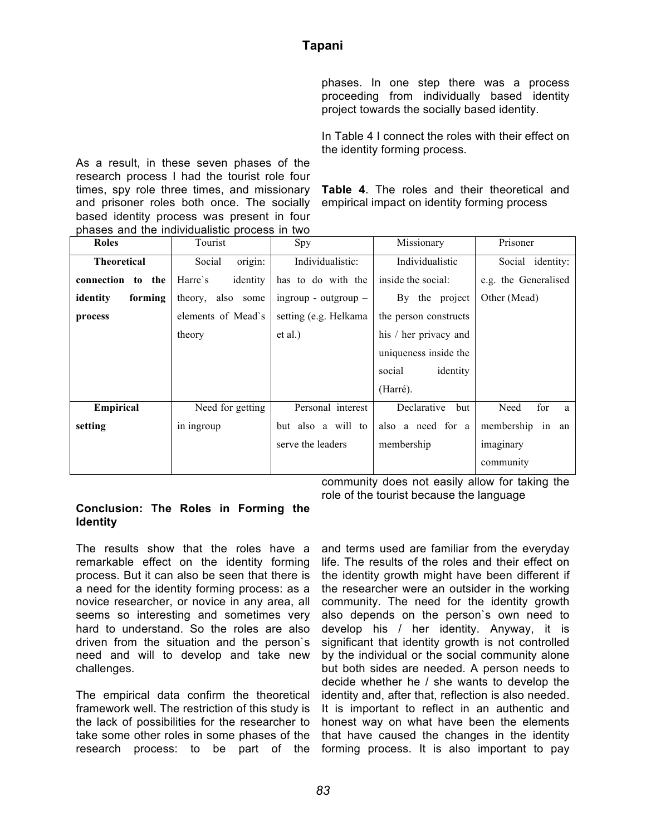phases. In one step there was a process proceeding from individually based identity project towards the socially based identity.

In Table 4 I connect the roles with their effect on the identity forming process.

As a result, in these seven phases of the research process I had the tourist role four times, spy role three times, and missionary and prisoner roles both once. The socially based identity process was present in four phases and the individualistic process in two

**Table 4**. The roles and their theoretical and empirical impact on identity forming process

| <b>Roles</b>         | Tourist             | Spy                    | Missionary            | Prisoner             |
|----------------------|---------------------|------------------------|-----------------------|----------------------|
| <b>Theoretical</b>   | origin:<br>Social   | Individualistic:       | Individualistic       | Social identity:     |
| connection<br>to the | identity<br>Harre's | has to do with the     | inside the social:    | e.g. the Generalised |
| identity<br>forming  | theory, also some   | ingroup - outgroup $-$ | By the project        | Other (Mead)         |
| process              | elements of Mead's  | setting (e.g. Helkama  | the person constructs |                      |
|                      | theory              | et al.)                | his / her privacy and |                      |
|                      |                     |                        | uniqueness inside the |                      |
|                      |                     |                        | identity<br>social    |                      |
|                      |                     |                        | (Harré).              |                      |
| Empirical            | Need for getting    | Personal interest      | Declarative<br>but    | for<br>Need<br>a     |
| setting              | in ingroup          | but also a will to     | also a need for a     | membership in an     |
|                      |                     | serve the leaders      | membership            | imaginary            |
|                      |                     |                        |                       | community            |

community does not easily allow for taking the role of the tourist because the language

#### **Conclusion: The Roles in Forming the Identity**

The results show that the roles have a remarkable effect on the identity forming process. But it can also be seen that there is a need for the identity forming process: as a novice researcher, or novice in any area, all seems so interesting and sometimes very hard to understand. So the roles are also driven from the situation and the person`s need and will to develop and take new challenges.

The empirical data confirm the theoretical framework well. The restriction of this study is the lack of possibilities for the researcher to take some other roles in some phases of the research process: to be part of the forming process. It is also important to pay

and terms used are familiar from the everyday life. The results of the roles and their effect on the identity growth might have been different if the researcher were an outsider in the working community. The need for the identity growth also depends on the person`s own need to develop his / her identity. Anyway, it is significant that identity growth is not controlled by the individual or the social community alone but both sides are needed. A person needs to decide whether he / she wants to develop the identity and, after that, reflection is also needed. It is important to reflect in an authentic and honest way on what have been the elements that have caused the changes in the identity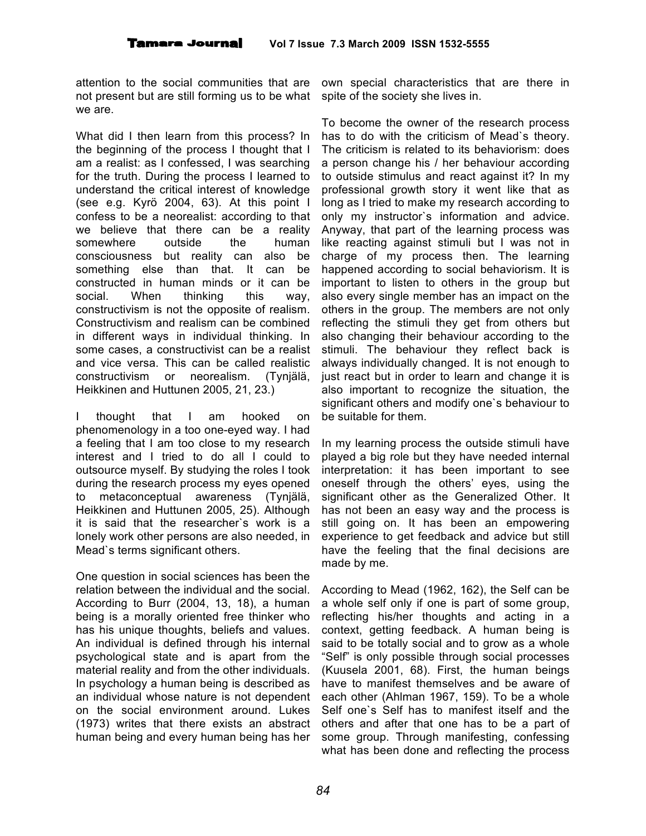attention to the social communities that are not present but are still forming us to be what we are.

What did I then learn from this process? In the beginning of the process I thought that I am a realist: as I confessed, I was searching for the truth. During the process I learned to understand the critical interest of knowledge (see e.g. Kyrö 2004, 63). At this point I confess to be a neorealist: according to that we believe that there can be a reality somewhere outside the human consciousness but reality can also be something else than that. It can be constructed in human minds or it can be social. When thinking this way, constructivism is not the opposite of realism. Constructivism and realism can be combined in different ways in individual thinking. In some cases, a constructivist can be a realist and vice versa. This can be called realistic constructivism or neorealism. (Tynjälä, Heikkinen and Huttunen 2005, 21, 23.)

I thought that I am hooked on phenomenology in a too one-eyed way. I had a feeling that I am too close to my research interest and I tried to do all I could to outsource myself. By studying the roles I took during the research process my eyes opened to metaconceptual awareness (Tynjälä, Heikkinen and Huttunen 2005, 25). Although it is said that the researcher`s work is a lonely work other persons are also needed, in Mead`s terms significant others.

One question in social sciences has been the relation between the individual and the social. According to Burr (2004, 13, 18), a human being is a morally oriented free thinker who has his unique thoughts, beliefs and values. An individual is defined through his internal psychological state and is apart from the material reality and from the other individuals. In psychology a human being is described as an individual whose nature is not dependent on the social environment around. Lukes (1973) writes that there exists an abstract human being and every human being has her

own special characteristics that are there in spite of the society she lives in.

To become the owner of the research process has to do with the criticism of Mead`s theory. The criticism is related to its behaviorism: does a person change his / her behaviour according to outside stimulus and react against it? In my professional growth story it went like that as long as I tried to make my research according to only my instructor`s information and advice. Anyway, that part of the learning process was like reacting against stimuli but I was not in charge of my process then. The learning happened according to social behaviorism. It is important to listen to others in the group but also every single member has an impact on the others in the group. The members are not only reflecting the stimuli they get from others but also changing their behaviour according to the stimuli. The behaviour they reflect back is always individually changed. It is not enough to just react but in order to learn and change it is also important to recognize the situation, the significant others and modify one`s behaviour to be suitable for them.

In my learning process the outside stimuli have played a big role but they have needed internal interpretation: it has been important to see oneself through the others' eyes, using the significant other as the Generalized Other. It has not been an easy way and the process is still going on. It has been an empowering experience to get feedback and advice but still have the feeling that the final decisions are made by me.

According to Mead (1962, 162), the Self can be a whole self only if one is part of some group, reflecting his/her thoughts and acting in a context, getting feedback. A human being is said to be totally social and to grow as a whole "Self" is only possible through social processes (Kuusela 2001, 68). First, the human beings have to manifest themselves and be aware of each other (Ahlman 1967, 159). To be a whole Self one`s Self has to manifest itself and the others and after that one has to be a part of some group. Through manifesting, confessing what has been done and reflecting the process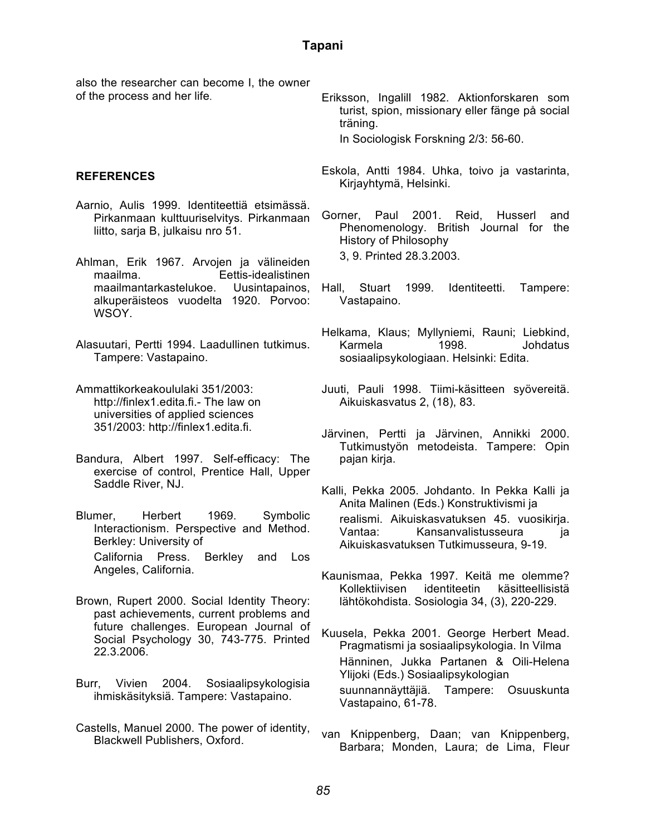also the researcher can become I, the owner of the process and her life.

#### **REFERENCES**

- Aarnio, Aulis 1999. Identiteettiä etsimässä. Pirkanmaan kulttuuriselvitys. Pirkanmaan liitto, sarja B, julkaisu nro 51.
- Ahlman, Erik 1967. Arvojen ja välineiden maailma. Eettis-idealistinen maailmantarkastelukoe. Uusintapainos, alkuperäisteos vuodelta 1920. Porvoo: WSOY.
- Alasuutari, Pertti 1994. Laadullinen tutkimus. Tampere: Vastapaino.
- Ammattikorkeakoululaki 351/2003: http://finlex1.edita.fi.- The law on universities of applied sciences 351/2003: http://finlex1.edita.fi.
- Bandura, Albert 1997. Self-efficacy: The exercise of control, Prentice Hall, Upper Saddle River, NJ.
- Blumer, Herbert 1969. Symbolic Interactionism. Perspective and Method. Berkley: University of California Press. Berkley and Los Angeles, California.
- Brown, Rupert 2000. Social Identity Theory: past achievements, current problems and future challenges. European Journal of Social Psychology 30, 743-775. Printed 22.3.2006.
- Burr, Vivien 2004. Sosiaalipsykologisia ihmiskäsityksiä. Tampere: Vastapaino.
- Castells, Manuel 2000. The power of identity, Blackwell Publishers, Oxford.
- Eriksson, Ingalill 1982. Aktionforskaren som turist, spion, missionary eller fänge på social träning. In Sociologisk Forskning 2/3: 56-60.
- Eskola, Antti 1984. Uhka, toivo ja vastarinta, Kirjayhtymä, Helsinki.
- Gorner, Paul 2001. Reid, Husserl and Phenomenology. British Journal for the History of Philosophy 3, 9. Printed 28.3.2003.
- Hall, Stuart 1999. Identiteetti. Tampere: Vastapaino.
- Helkama, Klaus; Myllyniemi, Rauni; Liebkind, Karmela 1998. Johdatus sosiaalipsykologiaan. Helsinki: Edita.
- Juuti, Pauli 1998. Tiimi-käsitteen syövereitä. Aikuiskasvatus 2, (18), 83.
- Järvinen, Pertti ja Järvinen, Annikki 2000. Tutkimustyön metodeista. Tampere: Opin pajan kirja.
- Kalli, Pekka 2005. Johdanto. In Pekka Kalli ja Anita Malinen (Eds.) Konstruktivismi ja realismi. Aikuiskasvatuksen 45. vuosikirja. Vantaa: Kansanvalistusseura ja Aikuiskasvatuksen Tutkimusseura, 9-19.
- Kaunismaa, Pekka 1997. Keitä me olemme? Kollektiivisen identiteetin käsitteellisistä lähtökohdista. Sosiologia 34, (3), 220-229.
- Kuusela, Pekka 2001. George Herbert Mead. Pragmatismi ja sosiaalipsykologia. In Vilma Hänninen, Jukka Partanen & Oili-Helena Ylijoki (Eds.) Sosiaalipsykologian suunnannäyttäjiä. Tampere: Osuuskunta Vastapaino, 61-78.
- van Knippenberg, Daan; van Knippenberg, Barbara; Monden, Laura; de Lima, Fleur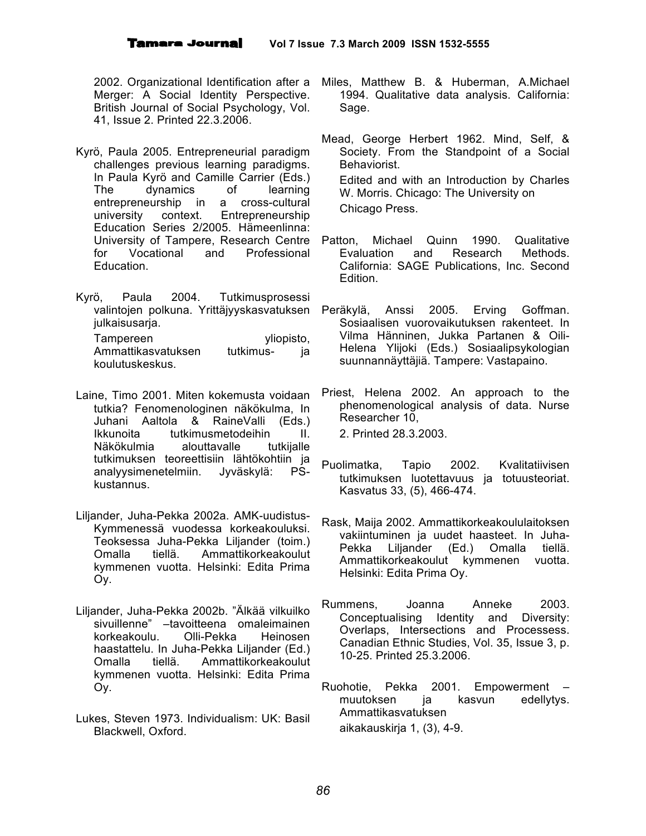2002. Organizational Identification after a Merger: A Social Identity Perspective. British Journal of Social Psychology, Vol. 41, Issue 2. Printed 22.3.2006.

- Kyrö, Paula 2005. Entrepreneurial paradigm challenges previous learning paradigms. In Paula Kyrö and Camille Carrier (Eds.) The dynamics of learning entrepreneurship in a cross-cultural<br>university context. Entrepreneurship university context. Entrepreneurship Education Series 2/2005. Hämeenlinna: University of Tampere, Research Centre Patton, for Vocational and Professional Education.
- Kyrö, Paula 2004. Tutkimusprosessi valintojen polkuna. Yrittäjyyskasvatuksen julkaisusarja. Tampereen vliopisto, Ammattikasvatuksen tutkimus- ja koulutuskeskus.
- Laine, Timo 2001. Miten kokemusta voidaan tutkia? Fenomenologinen näkökulma, In Juhani Aaltola & RaineValli (Eds.) Ikkunoita tutkimusmetodeihin II. Näkökulmia alouttavalle tutkijalle tutkimuksen teoreettisiin lähtökohtiin ja analyysimenetelmiin. Jyväskylä: PSkustannus.
- Liljander, Juha-Pekka 2002a. AMK-uudistus-Kymmenessä vuodessa korkeakouluksi. Teoksessa Juha-Pekka Liljander (toim.) Omalla tiellä. Ammattikorkeakoulut kymmenen vuotta. Helsinki: Edita Prima Oy.
- Liljander, Juha-Pekka 2002b. "Älkää vilkuilko sivuillenne" –tavoitteena omaleimainen korkeakoulu. Olli-Pekka Heinosen haastattelu. In Juha-Pekka Liljander (Ed.) Omalla tiellä. Ammattikorkeakoulut kymmenen vuotta. Helsinki: Edita Prima Oy.
- Lukes, Steven 1973. Individualism: UK: Basil Blackwell, Oxford.
- Miles, Matthew B. & Huberman, A.Michael 1994. Qualitative data analysis. California: Sage.
- Mead, George Herbert 1962. Mind, Self, & Society. From the Standpoint of a Social Behaviorist. Edited and with an Introduction by Charles W. Morris. Chicago: The University on Chicago Press.
- Michael Quinn 1990. Qualitative Evaluation and Research Methods. California: SAGE Publications, Inc. Second Edition.
- Peräkylä, Anssi 2005. Erving Goffman. Sosiaalisen vuorovaikutuksen rakenteet. In Vilma Hänninen, Jukka Partanen & Oili-Helena Ylijoki (Eds.) Sosiaalipsykologian suunnannäyttäjiä. Tampere: Vastapaino.
- Priest, Helena 2002. An approach to the phenomenological analysis of data. Nurse Researcher 10, 2. Printed 28.3.2003.
- Puolimatka, Tapio 2002. Kvalitatiivisen tutkimuksen luotettavuus ja totuusteoriat. Kasvatus 33, (5), 466-474.
- Rask, Maija 2002. Ammattikorkeakoululaitoksen vakiintuminen ja uudet haasteet. In Juha-Pekka Liljander (Ed.) Omalla tiellä. Ammattikorkeakoulut kymmenen vuotta. Helsinki: Edita Prima Oy.
- Rummens, Joanna Anneke 2003. Conceptualising Identity and Diversity: Overlaps, Intersections and Processess. Canadian Ethnic Studies, Vol. 35, Issue 3, p. 10-25. Printed 25.3.2006.
- Ruohotie, Pekka 2001. Empowerment muutoksen ja kasvun edellytys. Ammattikasvatuksen aikakauskirja 1, (3), 4-9.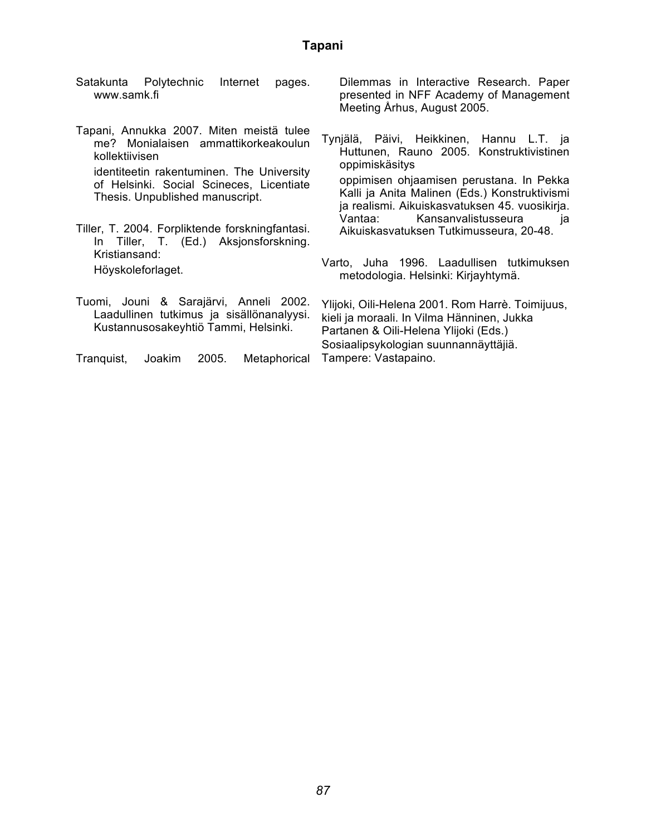- Satakunta Polytechnic Internet pages. www.samk.fi
- Tapani, Annukka 2007. Miten meistä tulee me? Monialaisen ammattikorkeakoulun kollektiivisen identiteetin rakentuminen. The University of Helsinki. Social Scineces, Licentiate Thesis. Unpublished manuscript.

Tiller, T. 2004. Forpliktende forskningfantasi. In Tiller, T. (Ed.) Aksjonsforskning. Kristiansand: Höyskoleforlaget.

Dilemmas in Interactive Research. Paper presented in NFF Academy of Management Meeting Århus, August 2005.

- Tynjälä, Päivi, Heikkinen, Hannu L.T. ja Huttunen, Rauno 2005. Konstruktivistinen oppimiskäsitys oppimisen ohjaamisen perustana. In Pekka Kalli ja Anita Malinen (Eds.) Konstruktivismi ja realismi. Aikuiskasvatuksen 45. vuosikirja. Vantaa: Kansanvalistusseura ja Aikuiskasvatuksen Tutkimusseura, 20-48.
- Varto, Juha 1996. Laadullisen tutkimuksen metodologia. Helsinki: Kirjayhtymä.
- Tuomi, Jouni & Sarajärvi, Anneli 2002. Laadullinen tutkimus ja sisällönanalyysi. Kustannusosakeyhtiö Tammi, Helsinki. Tranquist, Joakim 2005. Metaphorical Ylijoki, Oili-Helena 2001. Rom Harrè. Toimijuus, kieli ja moraali. In Vilma Hänninen, Jukka Partanen & Oili-Helena Ylijoki (Eds.) Sosiaalipsykologian suunnannäyttäjiä. Tampere: Vastapaino.